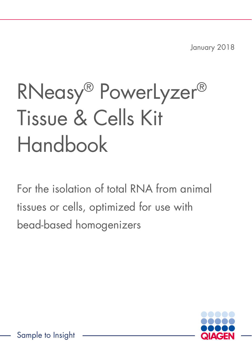January 2018

# RNeasy® PowerLyzer® Tissue & Cells Kit Handbook

For the isolation of total RNA from animal tissues or cells, optimized for use with bead-based homogenizers

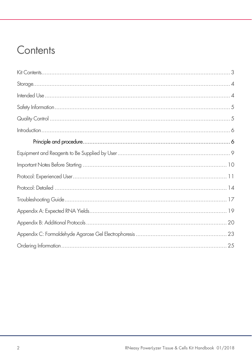### Contents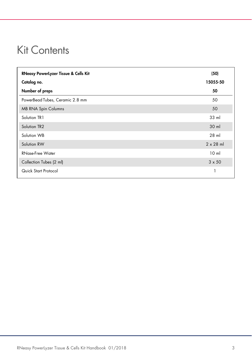### Kit Contents

| <b>RNeasy PowerLyzer Tissue &amp; Cells Kit</b> | (50)             |
|-------------------------------------------------|------------------|
| Catalog no.                                     | 15055-50         |
| Number of preps                                 | 50               |
| PowerBead Tubes, Ceramic 2.8 mm                 | 50               |
| <b>MB RNA Spin Columns</b>                      | 50               |
| Solution TR1                                    | 33 ml            |
| Solution TR2                                    | $30$ ml          |
| Solution WB                                     | 28 ml            |
| Solution RW                                     | $2 \times 28$ ml |
| <b>RNase-Free Water</b>                         | 10 <sub>m</sub>  |
| Collection Tubes (2 ml)                         | $3 \times 50$    |
| Quick Start Protocol                            |                  |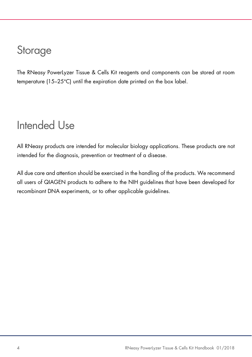### **Storage**

The RNeasy PowerLyzer Tissue & Cells Kit reagents and components can be stored at room temperature (15–25°C) until the expiration date printed on the box label.

### Intended Use

All RNeasy products are intended for molecular biology applications. These products are not intended for the diagnosis, prevention or treatment of a disease.

All due care and attention should be exercised in the handling of the products. We recommend all users of QIAGEN products to adhere to the NIH guidelines that have been developed for recombinant DNA experiments, or to other applicable guidelines.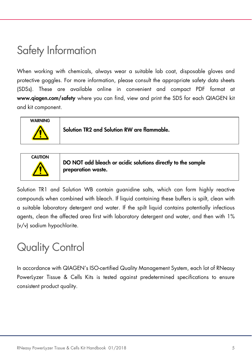### Safety Information

When working with chemicals, always wear a suitable lab coat, disposable gloves and protective goggles. For more information, please consult the appropriate safety data sheets (SDSs). These are available online in convenient and compact PDF format at www.qiagen.com/safety where you can find, view and print the SDS for each QIAGEN kit and kit component.



Solution TR1 and Solution WB contain guanidine salts, which can form highly reactive compounds when combined with bleach. If liquid containing these buffers is spilt, clean with a suitable laboratory detergent and water. If the spilt liquid contains potentially infectious agents, clean the affected area first with laboratory detergent and water, and then with 1% (v/v) sodium hypochlorite.

preparation waste.

### Quality Control

In accordance with QIAGEN's ISO-certified Quality Management System, each lot of RNeasy PowerLyzer Tissue & Cells Kits is tested against predetermined specifications to ensure consistent product quality.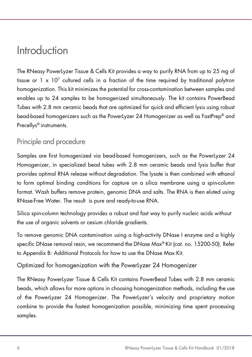### Introduction

The RNeasy PowerLyzer Tissue & Cells Kit provides a way to purify RNA from up to 25 mg of tissue or 1 x 10<sup>7</sup> cultured cells in a fraction of the time required by traditional polytron homogenization. This kit minimizes the potential for cross-contamination between samples and enables up to 24 samples to be homogenized simultaneously. The kit contains PowerBead Tubes with 2.8 mm ceramic beads that are optimized for quick and efficient lysis using robust bead-based homogenizers such as the PowerLyzer 24 Homogenizer as well as FastPrep® and Precellys® instruments.

### Principle and procedure

Samples are first homogenized via bead-based homogenizers, such as the PowerLyzer 24 Homogenizer, in specialized bead tubes with 2.8 mm ceramic beads and lysis buffer that provides optimal RNA release without degradation. The lysate is then combined with ethanol to form optimal binding conditions for capture on a silica membrane using a spin-column format. Wash buffers remove protein, genomic DNA and salts. The RNA is then eluted using RNase-Free Water. The result is pure and ready-to-use RNA.

Silica spin-column technology provides a robust and fast way to purify nucleic acids without the use of organic solvents or cesium chloride gradients.

To remove genomic DNA contamination using a high-activity DNase I enzyme and a highly specific DNase removal resin, we recommend the DNase Max® Kit (cat. no. 15200-50). Refer to Appendix B: Additional Protocols for how to use the DNase Max Kit.

Optimized for homogenization with the PowerLyzer 24 Homogenizer

The RNeasy PowerLyzer Tissue & Cells Kit contains PowerBead Tubes with 2.8 mm ceramic beads, which allows for more options in choosing homogenization methods, including the use of the PowerLyzer 24 Homogenizer. The PowerLyzer's velocity and proprietary motion combine to provide the fastest homogenization possible, minimizing time spent processing samples.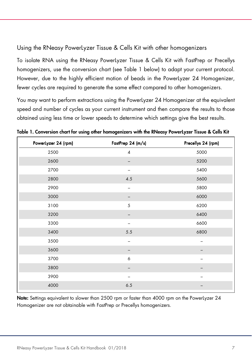#### Using the RNeasy PowerLyzer Tissue & Cells Kit with other homogenizers

To isolate RNA using the RNeasy PowerLyzer Tissue & Cells Kit with FastPrep or Precellys homogenizers, use the conversion chart (see Table 1 below) to adapt your current protocol. However, due to the highly efficient motion of beads in the PowerLyzer 24 Homogenizer, fewer cycles are required to generate the same effect compared to other homogenizers.

You may want to perform extractions using the PowerLyzer 24 Homogenizer at the equivalent speed and number of cycles as your current instrument and then compare the results to those obtained using less time or lower speeds to determine which settings give the best results.

| PowerLyzer 24 (rpm) | FastPrep 24 (m/s) | Precellys 24 (rpm) |  |
|---------------------|-------------------|--------------------|--|
| 2500                | $\pmb{4}$         | 5000               |  |
| 2600                |                   | 5200               |  |
| 2700                |                   | 5400               |  |
| 2800                | 4.5               | 5600               |  |
| 2900                | $\qquad \qquad$   | 5800               |  |
| 3000                |                   | 6000               |  |
| 3100                | 5                 | 6200               |  |
| 3200                |                   | 6400               |  |
| 3300                |                   | 6600               |  |
| 3400                | 5.5               | 6800               |  |
| 3500                | $\qquad \qquad -$ |                    |  |
| 3600                |                   |                    |  |
| 3700                | 6                 |                    |  |
| 3800                |                   |                    |  |
| 3900                |                   |                    |  |
| 4000                | 6.5               |                    |  |
|                     |                   |                    |  |

Table 1. Conversion chart for using other homogenizers with the RNeasy PowerLyzer Tissue & Cells Kit

Note: Settings equivalent to slower than 2500 rpm or faster than 4000 rpm on the PowerLyzer 24 Homogenizer are not obtainable with FastPrep or Precellys homogenizers.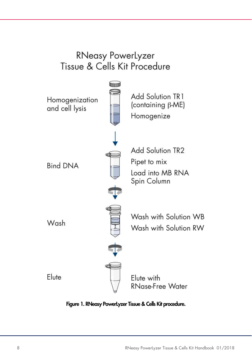### **RNeasy PowerLyzer** Tissue & Cells Kit Procedure



Figure 1. RNeasy PowerLyzer Tissue & Cells Kit procedure.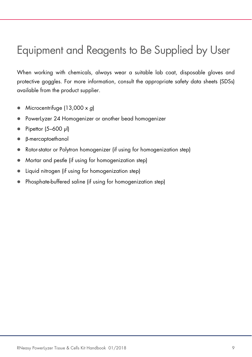### Equipment and Reagents to Be Supplied by User

When working with chemicals, always wear a suitable lab coat, disposable gloves and protective goggles. For more information, consult the appropriate safety data sheets (SDSs) available from the product supplier.

- $\bullet$  Microcentrifuge (13,000 x g)
- PowerLyzer 24 Homogenizer or another bead homogenizer
- $\bullet$  Pipettor (5–600 µl)
- β-mercaptoethanol
- Rotor-stator or Polytron homogenizer (if using for homogenization step)
- Mortar and pestle (if using for homogenization step)
- Liquid nitrogen (if using for homogenization step)
- Phosphate-buffered saline (if using for homogenization step)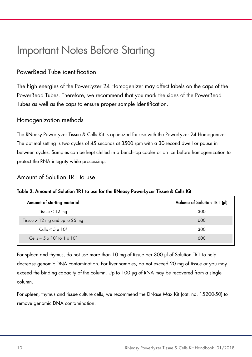### Important Notes Before Starting

#### PowerBead Tube identification

The high energies of the PowerLyzer 24 Homogenizer may affect labels on the caps of the PowerBead Tubes. Therefore, we recommend that you mark the sides of the PowerBead Tubes as well as the caps to ensure proper sample identification.

#### Homogenization methods

The RNeasy PowerLyzer Tissue & Cells Kit is optimized for use with the PowerLyzer 24 Homogenizer. The optimal setting is two cycles of 45 seconds at 3500 rpm with a 30-second dwell or pause in between cycles. Samples can be kept chilled in a bench-top cooler or on ice before homogenization to protect the RNA integrity while processing.

#### Amount of Solution TR1 to use

#### Table 2. Amount of Solution TR1 to use for the RNeasy PowerLyzer Tissue & Cells Kit

| Amount of starting material                | Volume of Solution TR1 (µl) |
|--------------------------------------------|-----------------------------|
| Tissue $\leq 12$ mg                        | 300                         |
| Tissue $> 12$ mg and up to 25 mg           | 600                         |
| Cells $\leq 5 \times 10^6$                 | 300                         |
| Cells = $5 \times 10^6$ to $1 \times 10^7$ | 600                         |

For spleen and thymus, do not use more than 10 mg of tissue per 300 μl of Solution TR1 to help decrease genomic DNA contamination. For liver samples, do not exceed 20 mg of tissue or you may exceed the binding capacity of the column. Up to 100 μg of RNA may be recovered from a single column.

For spleen, thymus and tissue culture cells, we recommend the DNase Max Kit (cat. no. 15200-50) to remove genomic DNA contamination.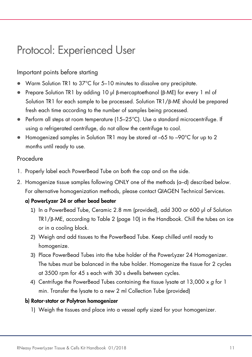### Protocol: Experienced User

#### Important points before starting

- Warm Solution TR1 to 37°C for 5–10 minutes to dissolve any precipitate.
- Prepare Solution TR1 by adding 10 µl β-mercaptoethanol (β-ME) for every 1 ml of Solution TR1 for each sample to be processed. Solution TR1/β-ME should be prepared fresh each time according to the number of samples being processed.
- $\bullet$  Perform all steps at room temperature (15–25°C). Use a standard microcentrifuge. If using a refrigerated centrifuge, do not allow the centrifuge to cool.
- Homogenized samples in Solution TR1 may be stored at –65 to –90°C for up to 2 months until ready to use.

#### Procedure

- 1. Properly label each PowerBead Tube on both the cap and on the side.
- 2. Homogenize tissue samples following ONLY one of the methods (a–d) described below. For alternative homogenization methods, please contact QIAGEN Technical Services.

#### a) PowerLyzer 24 or other bead beater

- 1) In a PowerBead Tube, Ceramic 2.8 mm (provided), add 300 or 600 μl of Solution TR1/β-ME, according to Table 2 (page 10) in the Handbook. Chill the tubes on ice or in a cooling block.
- 2) Weigh and add tissues to the PowerBead Tube. Keep chilled until ready to homogenize.
- 3) Place PowerBead Tubes into the tube holder of the PowerLyzer 24 Homogenizer. The tubes must be balanced in the tube holder. Homogenize the tissue for 2 cycles at 3500 rpm for 45 s each with 30 s dwells between cycles.
- 4) Centrifuge the PowerBead Tubes containing the tissue lysate at  $13,000 \times q$  for 1 min. Transfer the lysate to a new 2 ml Collection Tube (provided)

#### b) Rotor-stator or Polytron homogenizer

1) Weigh the tissues and place into a vessel aptly sized for your homogenizer.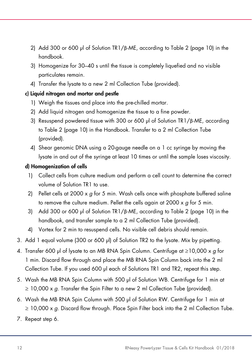- 2) Add 300 or 600 μl of Solution TR1/ $\beta$ -ME, according to Table 2 (page 10) in the handbook.
- 3) Homogenize for 30–40 s until the tissue is completely liquefied and no visible particulates remain.
- 4) Transfer the lysate to a new 2 ml Collection Tube (provided).

#### c) Liquid nitrogen and mortar and pestle

- 1) Weigh the tissues and place into the pre-chilled mortar.
- 2) Add liquid nitrogen and homogenize the tissue to a fine powder.
- 3) Resuspend powdered tissue with 300 or 600 μl of Solution TR1/ $\beta$ -ME, according to Table 2 (page 10) in the Handbook. Transfer to a 2 ml Collection Tube (provided).
- 4) Shear genomic DNA using a 20-gauge needle on a 1 cc syringe by moving the lysate in and out of the syringe at least 10 times or until the sample loses viscosity.

#### d) Homogenization of cells

- 1) Collect cells from culture medium and perform a cell count to determine the correct volume of Solution TR1 to use.
- 2) Pellet cells at 2000  $\times$  g for 5 min. Wash cells once with phosphate buffered saline to remove the culture medium. Pellet the cells again at 2000  $\times$  g for 5 min.
- 3) Add 300 or 600 μl of Solution TR1/β-ME, according to Table 2 (page 10) in the handbook, and transfer sample to a 2 ml Collection Tube (provided).
- 4) Vortex for 2 min to resuspend cells. No visible cell debris should remain.
- 3. Add 1 equal volume (300 or 600 µl) of Solution TR2 to the lysate. Mix by pipetting.
- 4. Transfer 600 µl of lysate to an MB RNA Spin Column. Centrifuge at  $\geq$ 10,000 x q for 1 min. Discard flow through and place the MB RNA Spin Column back into the 2 ml Collection Tube. If you used 600 µl each of Solutions TR1 and TR2, repeat this step.
- 5. Wash the MB RNA Spin Column with 500 μl of Solution WB. Centrifuge for 1 min at  $\geq$  10,000 x g. Transfer the Spin Filter to a new 2 ml Collection Tube (provided).
- 6. Wash the MB RNA Spin Column with 500 μl of Solution RW. Centrifuge for 1 min at  $\geq$  10,000 x g. Discard flow through. Place Spin Filter back into the 2 ml Collection Tube.
- 7. Repeat step 6.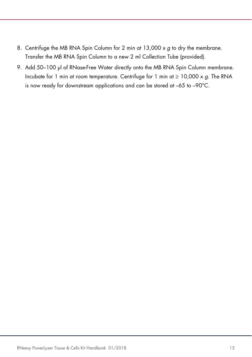- 8. Centrifuge the MB RNA Spin Column for 2 min at  $13,000 \times g$  to dry the membrane. Transfer the MB RNA Spin Column to a new 2 ml Collection Tube (provided).
- 9. Add 50-100 µl of RNase-Free Water directly onto the MB RNA Spin Column membrane. Incubate for 1 min at room temperature. Centrifuge for 1 min at  $\geq 10,000 \times g$ . The RNA is now ready for downstream applications and can be stored at –65 to –90°C.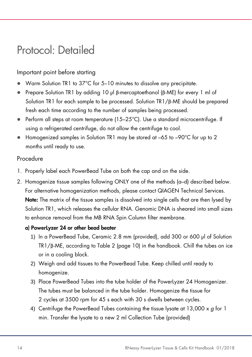### Protocol: Detailed

#### Important point before starting

- Warm Solution TR1 to 37°C for 5–10 minutes to dissolve any precipitate.
- Prepare Solution TR1 by adding 10 µl β-mercaptoethanol (β-ME) for every 1 ml of Solution TR1 for each sample to be processed. Solution TR1/β-ME should be prepared fresh each time according to the number of samples being processed.
- Perform all steps at room temperature (15–25°C). Use a standard microcentrifuge. If using a refrigerated centrifuge, do not allow the centrifuge to cool.
- Homogenized samples in Solution TR1 may be stored at –65 to –90°C for up to 2 months until ready to use.

#### Procedure

- 1. Properly label each PowerBead Tube on both the cap and on the side.
- 2. Homogenize tissue samples following ONLY one of the methods (a–d) described below. For alternative homogenization methods, please contact QIAGEN Technical Services. Note: The matrix of the tissue samples is dissolved into single cells that are then lysed by Solution TR1, which releases the cellular RNA. Genomic DNA is sheared into small sizes to enhance removal from the MB RNA Spin Column filter membrane.

#### a) PowerLyzer 24 or other bead beater

- 1) In a PowerBead Tube, Ceramic 2.8 mm (provided), add 300 or 600 μl of Solution TR1/β-ME, according to Table 2 (page 10) in the handbook. Chill the tubes on ice or in a cooling block.
- 2) Weigh and add tissues to the PowerBead Tube. Keep chilled until ready to homogenize.
- 3) Place PowerBead Tubes into the tube holder of the PowerLyzer 24 Homogenizer. The tubes must be balanced in the tube holder. Homogenize the tissue for 2 cycles at 3500 rpm for 45 s each with 30 s dwells between cycles.
- 4) Centrifuge the PowerBead Tubes containing the tissue lysate at 13,000  $\times g$  for 1 min. Transfer the lysate to a new 2 ml Collection Tube (provided)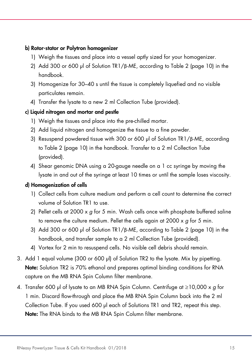#### b) Rotor-stator or Polytron homogenizer

- 1) Weigh the tissues and place into a vessel aptly sized for your homogenizer.
- 2) Add 300 or 600 μl of Solution TR1/β-ME, according to Table 2 (page 10) in the handbook.
- 3) Homogenize for 30–40 s until the tissue is completely liquefied and no visible particulates remain.
- 4) Transfer the lysate to a new 2 ml Collection Tube (provided).

#### c) Liquid nitrogen and mortar and pestle

- 1) Weigh the tissues and place into the pre-chilled mortar.
- 2) Add liquid nitrogen and homogenize the tissue to a fine powder.
- 3) Resuspend powdered tissue with 300 or 600 μl of Solution TR1/β-ME, according to Table 2 (page 10) in the handbook. Transfer to a 2 ml Collection Tube (provided).
- 4) Shear genomic DNA using a 20-gauge needle on a 1 cc syringe by moving the lysate in and out of the syringe at least 10 times or until the sample loses viscosity.

#### d) Homogenization of cells

- 1) Collect cells from culture medium and perform a cell count to determine the correct volume of Solution TR1 to use.
- 2) Pellet cells at 2000  $\times$  g for 5 min. Wash cells once with phosphate buffered saline to remove the culture medium. Pellet the cells again at 2000 x g for 5 min.
- 3) Add 300 or 600 μl of Solution TR1/β-ME, according to Table 2 (page 10) in the handbook, and transfer sample to a 2 ml Collection Tube (provided).
- 4) Vortex for 2 min to resuspend cells. No visible cell debris should remain.
- 3. Add 1 equal volume (300 or 600 µl) of Solution TR2 to the lysate. Mix by pipetting. Note: Solution TR2 is 70% ethanol and prepares optimal binding conditions for RNA capture on the MB RNA Spin Column filter membrane.
- 4. Transfer 600 µl of lysate to an MB RNA Spin Column. Centrifuge at  $\geq$ 10,000 x g for 1 min. Discard flow-through and place the MB RNA Spin Column back into the 2 ml Collection Tube. If you used 600 µl each of Solutions TR1 and TR2, repeat this step. Note: The RNA binds to the MB RNA Spin Column filter membrane.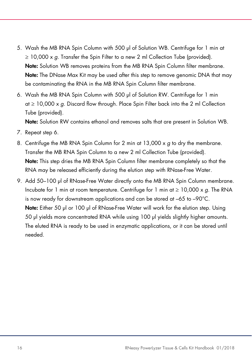- 5. Wash the MB RNA Spin Column with 500 μl of Solution WB. Centrifuge for 1 min at  $\geq$  10,000 x g. Transfer the Spin Filter to a new 2 ml Collection Tube (provided). Note: Solution WB removes proteins from the MB RNA Spin Column filter membrane. Note: The DNase Max Kit may be used after this step to remove genomic DNA that may be contaminating the RNA in the MB RNA Spin Column filter membrane.
- 6. Wash the MB RNA Spin Column with 500 μl of Solution RW. Centrifuge for 1 min at  $\geq 10,000 \times q$ . Discard flow through. Place Spin Filter back into the 2 ml Collection Tube (provided).

Note: Solution RW contains ethanol and removes salts that are present in Solution WB.

- 7. Repeat step 6.
- 8. Centrifuge the MB RNA Spin Column for 2 min at 13,000 x g to dry the membrane. Transfer the MB RNA Spin Column to a new 2 ml Collection Tube (provided). Note: This step dries the MB RNA Spin Column filter membrane completely so that the RNA may be released efficiently during the elution step with RNase-Free Water.
- 9. Add 50–100 µl of RNase-Free Water directly onto the MB RNA Spin Column membrane. Incubate for 1 min at room temperature. Centrifuge for 1 min at  $\geq 10,000 \times g$ . The RNA is now ready for downstream applications and can be stored at –65 to –90°C. Note: Either 50 μl or 100 μl of RNase-Free Water will work for the elution step. Using 50 μl yields more concentrated RNA while using 100 μl yields slightly higher amounts. The eluted RNA is ready to be used in enzymatic applications, or it can be stored until needed.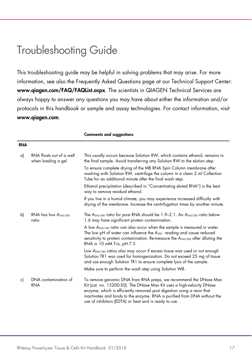### Troubleshooting Guide

This troubleshooting guide may be helpful in solving problems that may arise. For more information, see also the Frequently Asked Questions page at our Technical Support Center: www.qiagen.com/FAQ/FAQList.aspx. The scientists in QIAGEN Technical Services are always happy to answer any questions you may have about either the information and/or protocols in this handbook or sample and assay technologies. For contact information, visit www.qiagen.com.

| RNA |                                                |                                                                                                                                                                                                                                                                                                                                                           |
|-----|------------------------------------------------|-----------------------------------------------------------------------------------------------------------------------------------------------------------------------------------------------------------------------------------------------------------------------------------------------------------------------------------------------------------|
| a)  | RNA floats out of a well<br>when loading a gel | This usually occurs because Solution RW, which contains ethanol, remains in<br>the final sample. Avoid transferring any Solution RW to the elution step.                                                                                                                                                                                                  |
|     |                                                | To ensure complete drying of the MB RNA Spin Column membrane after<br>washing with Solution RW, centrifuge the column in a clean 2 ml Collection<br>Tube for an additional minute after the final wash step.                                                                                                                                              |
|     |                                                | Ethanol precipitation (described in "Concentrating eluted RNA") is the best<br>way to remove residual ethanol.                                                                                                                                                                                                                                            |
|     |                                                | If you live in a humid climate, you may experience increased difficulty with<br>drying of the membrane. Increase the centrifugation times by another minute.                                                                                                                                                                                              |
| b)  | RNA has low $A_{260/280}$<br>ratio             | The $A_{260/280}$ ratio for pure RNA should be 1.9-2.1. An $A_{260/280}$ ratio below<br>1.6 may have significant protein contamination.                                                                                                                                                                                                                   |
|     |                                                | A low $A_{260/280}$ ratio can also occur when the sample is measured in water.<br>The low pH of water can influence the $A_{280}$ reading and cause reduced<br>sensitivity to protein contamination. Re-measure the $A_{260/280}$ after diluting the<br>RNA in 10 mM Tris, pH 7.5.                                                                        |
|     |                                                | Low A <sub>260/280</sub> ratios also may occur if excess tissue was used or not enough<br>Solution TR1 was used for homogenization. Do not exceed 25 mg of tissue<br>and use enough Solution TR1 to ensure complete lysis of the sample.                                                                                                                  |
|     |                                                | Make sure to perform the wash step using Solution WB.                                                                                                                                                                                                                                                                                                     |
| c)  | DNA contamination of<br><b>RNA</b>             | To remove genomic DNA from RNA preps, we recommend the DNase Max<br>Kit (cat. no. 15200-50). The DNase Max Kit uses a high-velocity DNase<br>enzyme, which is efficiently removed post digestion using a resin that<br>inactivates and binds to the enzyme. RNA is purified from DNA without the<br>use of inhibitors (EDTA) or heat and is ready to use. |

Comments and suggestions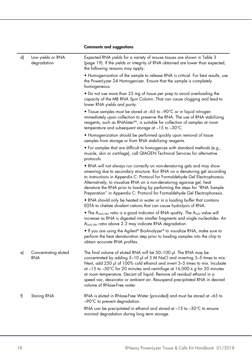#### Comments and suggestions

| d) | Low yields or RNA<br>degradation | Expected RNA yields for a variety of mouse tissues are shown in Table 3<br>(page 19). If the yields or integrity of RNA obtained are lower than expected,<br>the following reasons may apply:                                                                                                                                                                                                                                                                                                                     |
|----|----------------------------------|-------------------------------------------------------------------------------------------------------------------------------------------------------------------------------------------------------------------------------------------------------------------------------------------------------------------------------------------------------------------------------------------------------------------------------------------------------------------------------------------------------------------|
|    |                                  | • Homogenization of the sample to release RNA is critical. For best results, use<br>the PowerLyzer 24 Homogenizer. Ensure that the sample is completely<br>homogeneous.                                                                                                                                                                                                                                                                                                                                           |
|    |                                  | • Do not use more than 25 mg of tissue per prep to avoid overloading the<br>capacity of the MB RNA Spin Column. That can cause clogging and lead to<br>lower RNA yields and purity.                                                                                                                                                                                                                                                                                                                               |
|    |                                  | • Tissue samples must be stored at -65 to -90°C or in liquid nitrogen<br>immediately upon collection to preserve the RNA. The use of RNA stabilizing<br>reagents, such as RNA/ater™, is suitable for collection of samples at room<br>temperature and subsequent storage at $-15$ to $-30^{\circ}$ C.                                                                                                                                                                                                             |
|    |                                  | • Homogenization should be performed quickly upon removal of tissue<br>samples from storage or from RNA stabilizing reagents.                                                                                                                                                                                                                                                                                                                                                                                     |
|    |                                  | • For samples that are difficult to homogenize with standard methods (e.g.,<br>muscle, skin or cartilage), call QIAGEN Technical Services for alternative<br>protocols.                                                                                                                                                                                                                                                                                                                                           |
|    |                                  | • RNA will not always run correctly on non-denaturing gels and may show<br>smearing due to secondary structure. Run RNA on a denaturing gel according<br>to instructions in Appendix C: Protocol for Formaldehyde Gel Electrophoresis.<br>Alternatively, to visualize RNA on a non-denaturing agarose gel, heat<br>denature the RNA prior to loading by performing the steps for "RNA Sample<br>Preparation" in Appendix C: Protocol for Formaldehyde Gel Electrophoresis.                                        |
|    |                                  | • RNA should only be heated in water or in a loading buffer that contains<br>EDTA to chelate divalent cations that can cause hydrolysis of RNA.                                                                                                                                                                                                                                                                                                                                                                   |
|    |                                  | • The A <sub>260/280</sub> ratio is a good indicator of RNA quality. The A <sub>260</sub> value will<br>increase as RNA is digested into smaller fragments and single nucleotides. An<br>A <sub>260/280</sub> ratio above 2.3 may indicate RNA degradation.                                                                                                                                                                                                                                                       |
|    |                                  | . If you are using the Agilent® BioAnalyzer® to visualize RNA, make sure to<br>perform the heat denaturation step prior to loading samples into the chip to<br>obtain accurate RNA profiles.                                                                                                                                                                                                                                                                                                                      |
| e) | Concentrating eluted<br>RNA      | The final volume of eluted RNA will be 50–100 µl. The RNA may be<br>concentrated by adding 5-10 µl of 3 M NaCl and inverting 3-5 times to mix.<br>Next, add 250 µl of 100% cold ethanol and invert 3-5 times to mix. Incubate<br>at $-15$ to $-30^{\circ}$ C for 20 minutes and centrifuge at 16,000 x g for 20 minutes<br>at room temperature. Decant all liquid. Remove all residual ethanol in a<br>speed vac, dessicator or ambient air. Resuspend precipitated RNA in desired<br>volume of RNase-Free water. |
| f) | Storing RNA                      | RNA is eluted in RNase-Free Water (provided) and must be stored at -65 to<br>$-90^{\circ}$ C to prevent degradation.                                                                                                                                                                                                                                                                                                                                                                                              |
|    |                                  | RNA can be precipitated in ethanol and stored at $-15$ to $-30^{\circ}$ C to ensure<br>minimal degradation during long term storage.                                                                                                                                                                                                                                                                                                                                                                              |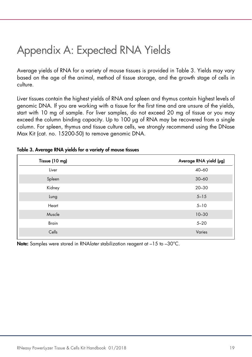### Appendix A: Expected RNA Yields

Average yields of RNA for a variety of mouse tissues is provided in Table 3. Yields may vary based on the age of the animal, method of tissue storage, and the growth stage of cells in culture.

Liver tissues contain the highest yields of RNA and spleen and thymus contain highest levels of genomic DNA. If you are working with a tissue for the first time and are unsure of the yields, start with 10 mg of sample. For liver samples, do not exceed 20 mg of tissue or you may exceed the column binding capacity. Up to 100 μg of RNA may be recovered from a single column. For spleen, thymus and tissue culture cells, we strongly recommend using the DNase Max Kit (cat. no. 15200-50) to remove genomic DNA.

| Tissue (10 mg) | Average RNA yield (µg) |
|----------------|------------------------|
| Liver          | $40 - 60$              |
| Spleen         | $30 - 60$              |
| Kidney         | $20 - 30$              |
| Lung           | $5 - 15$               |
| Heart          | $5 - 10$               |
| Muscle         | $10 - 30$              |
| <b>Brain</b>   | $5 - 20$               |
| Cells          | Varies                 |
|                |                        |

#### Table 3. Average RNA yields for a variety of mouse tissues

Note: Samples were stored in RNA*later* stabilization reagent at -15 to -30°C.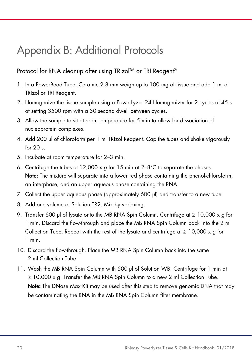### Appendix B: Additional Protocols

#### Protocol for RNA cleanup after using TRIzol™ or TRI Reagent<sup>®</sup>

- 1. In a PowerBead Tube, Ceramic 2.8 mm weigh up to 100 mg of tissue and add 1 ml of TRIzol or TRI Reagent.
- 2. Homogenize the tissue sample using a PowerLyzer 24 Homogenizer for 2 cycles at 45 s at setting 3500 rpm with a 30 second dwell between cycles.
- 3. Allow the sample to sit at room temperature for 5 min to allow for dissociation of nucleoprotein complexes.
- 4. Add 200 μl of chloroform per 1 ml TRIzol Reagent. Cap the tubes and shake vigorously for 20 s.
- 5. Incubate at room temperature for 2–3 min.
- 6. Centrifuge the tubes at 12,000 x q for 15 min at  $2-8^{\circ}$ C to separate the phases. Note: The mixture will separate into a lower red phase containing the phenol-chloroform, an interphase, and an upper aqueous phase containing the RNA.
- 7. Collect the upper aqueous phase (approximately 600 μl) and transfer to a new tube.
- 8. Add one volume of Solution TR2. Mix by vortexing.
- 9. Transfer 600 µl of lysate onto the MB RNA Spin Column. Centrifuge at  $\geq 10,000 \times g$  for 1 min. Discard the flow-through and place the MB RNA Spin Column back into the 2 ml Collection Tube. Repeat with the rest of the lysate and centrifuge at  $\geq 10,000 \times g$  for 1 min.
- 10. Discard the flow-through. Place the MB RNA Spin Column back into the same 2 ml Collection Tube.
- 11. Wash the MB RNA Spin Column with 500 μl of Solution WB. Centrifuge for 1 min at ≥ 10,000 x g. Transfer the MB RNA Spin Column to a new 2 ml Collection Tube. Note: The DNase Max Kit may be used after this step to remove genomic DNA that may be contaminating the RNA in the MB RNA Spin Column filter membrane.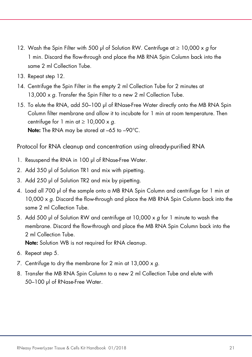- 12. Wash the Spin Filter with 500 μl of Solution RW. Centrifuge at  $\geq 10,000 \times g$  for 1 min. Discard the flow-through and place the MB RNA Spin Column back into the same 2 ml Collection Tube.
- 13. Repeat step 12.
- 14. Centrifuge the Spin Filter in the empty 2 ml Collection Tube for 2 minutes at 13,000 x q. Transfer the Spin Filter to a new 2 ml Collection Tube.
- 15. To elute the RNA, add 50–100 μl of RNase-Free Water directly onto the MB RNA Spin Column filter membrane and allow it to incubate for 1 min at room temperature. Then centrifuge for 1 min at  $\geq 10,000 \times q$ . Note: The RNA may be stored at -65 to -90°C.

Protocol for RNA cleanup and concentration using already-purified RNA

- 1. Resuspend the RNA in 100 μl of RNase-Free Water.
- 2. Add 350 μl of Solution TR1 and mix with pipetting.
- 3. Add 250 μl of Solution TR2 and mix by pipetting.
- 4. Load all 700 μl of the sample onto a MB RNA Spin Column and centrifuge for 1 min at 10,000  $\times$  g. Discard the flow-through and place the MB RNA Spin Column back into the same 2 ml Collection Tube.
- 5. Add 500 μl of Solution RW and centrifuge at 10,000 x g for 1 minute to wash the membrane. Discard the flow-through and place the MB RNA Spin Column back into the 2 ml Collection Tube.

Note: Solution WB is not required for RNA cleanup.

- 6. Repeat step 5.
- 7. Centrifuge to dry the membrane for 2 min at  $13,000 \times g$ .
- 8. Transfer the MB RNA Spin Column to a new 2 ml Collection Tube and elute with 50–100 μl of RNase-Free Water.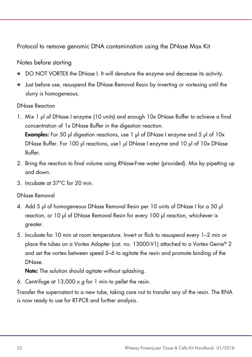Protocol to remove genomic DNA contamination using the DNase Max Kit

#### Notes before starting

- DO NOT VORTEX the DNase I. It will denature the enzyme and decrease its activity.
- Just before use, resuspend the DNase Removal Resin by inverting or vortexing until the slurry is homogeneous.

#### DNase Reaction

- 1. Mix 1 µl of DNase I enzyme (10 units) and enough 10x DNase Buffer to achieve a final concentration of 1x DNase Buffer in the digestion reaction. **Examples:** For 50 µl digestion reactions, use 1 µl of DNase I enzyme and 5 µl of  $10x$ DNase Buffer. For 100 µl reactions, use1 µl DNase I enzyme and 10 µl of 10x DNase Buffer.
- 2. Bring the reaction to final volume using RNase-Free water (provided). Mix by pipetting up and down.
- 3. Incubate at 37°C for 20 min.

#### DNase Removal

- 4. Add 5 µl of homogeneous DNase Removal Resin per 10 units of DNase I for a 50 µl reaction, or 10 µl of DNase Removal Resin for every 100 µl reaction, whichever is greater.
- 5. Incubate for 10 min at room temperature. Invert or flick to resuspend every 1–2 min or place the tubes on a Vortex Adapter (cat. no. 13000-V1) attached to a Vortex Genie® 2 and set the vortex between speed 5–6 to agitate the resin and promote binding of the DNase.

Note: The solution should agitate without splashing.

6. Centrifuge at  $13,000 \times g$  for 1 min to pellet the resin.

Transfer the supernatant to a new tube, taking care not to transfer any of the resin. The RNA is now ready to use for RT-PCR and further analysis.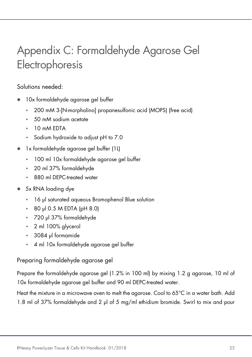## Appendix C: Formaldehyde Agarose Gel Electrophoresis

#### Solutions needed:

- 10x formaldehyde agarose gel buffer
	- 200 mM 3-[N-morpholino] propanesulfonic acid (MOPS) (free acid)
	- 50 mM sodium acetate
	- 10 mM EDTA
	- Sodium hydroxide to adjust pH to 7.0
- 1x formaldehyde agarose gel buffer (1L)
	- 100 ml 10x formaldehyde agarose gel buffer
	- 20 ml 37% formaldehyde
	- 880 ml DEPC-treated water
- 5x RNA loading dye
	- 16 μl saturated aqueous Bromophenol Blue solution
	- 80 μl 0.5 M EDTA (pH 8.0)
	- 720 μl 37% formaldehyde
	- 2 ml 100% glycerol
	- 3084 μl formamide
	- 4 ml 10x formaldehyde agarose gel buffer

#### Preparing formaldehyde agarose gel

Prepare the formaldehyde agarose gel (1.2% in 100 ml) by mixing 1.2 g agarose, 10 ml of 10x formaldehyde agarose gel buffer and 90 ml DEPC-treated water.

Heat the mixture in a microwave oven to melt the agarose. Cool to 65°C in a water bath. Add 1.8 ml of 37% formaldehyde and 2 μl of 5 mg/ml ethidium bromide. Swirl to mix and pour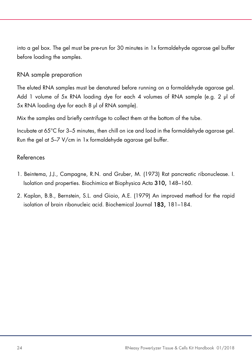into a gel box. The gel must be pre-run for 30 minutes in 1x formaldehyde agarose gel buffer before loading the samples.

#### RNA sample preparation

The eluted RNA samples must be denatured before running on a formaldehyde agarose gel. Add 1 volume of 5x RNA loading dye for each 4 volumes of RNA sample (e.g. 2 μl of 5x RNA loading dye for each 8 μl of RNA sample).

Mix the samples and briefly centrifuge to collect them at the bottom of the tube.

Incubate at 65°C for 3–5 minutes, then chill on ice and load in the formaldehyde agarose gel. Run the gel at 5–7 V/cm in 1x formaldehyde agarose gel buffer.

#### References

- 1. Beintema, J.J., Campagne, R.N. and Gruber, M. (1973) Rat pancreatic ribonuclease. I. Isolation and properties. Biochimica et Biophysica Acta 310, 148–160.
- 2. Kaplan, B.B., Bernstein, S.L. and Gioio, A.E. (1979) An improved method for the rapid isolation of brain ribonucleic acid. Biochemical Journal 183, 181–184.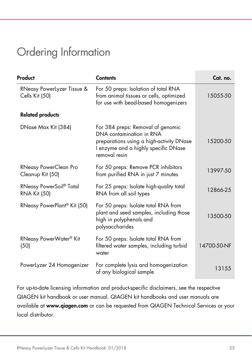### Ordering Information

| Product                                                    | <b>Contents</b>                                                                                                                                                    | Cat. no.    |
|------------------------------------------------------------|--------------------------------------------------------------------------------------------------------------------------------------------------------------------|-------------|
| RNeasy PowerLyzer Tissue &<br>Cells Kit (50)               | For 50 preps: Isolation of total RNA<br>from animal tissues or cells, optimized<br>for use with bead-based homogenizers                                            | 15055-50    |
| <b>Related products</b>                                    |                                                                                                                                                                    |             |
| DNase Max Kit (384)                                        | For 384 preps: Removal of genomic<br>DNA contamination in RNA<br>preparations using a high-activity DNase<br>I enzyme and a highly specific DNase<br>removal resin | 15200-50    |
| RNeasy PowerClean Pro<br>Cleanup Kit (50)                  | For 50 preps: Remove PCR inhibitors<br>from purified RNA in just 7 minutes                                                                                         | 13997-50    |
| RNeasy PowerSoil <sup>®</sup> Total<br><b>RNA Kit (50)</b> | For 25 preps: Isolate high-quality total<br>RNA from all soil types                                                                                                | 12866-25    |
| RNeasy PowerPlant <sup>®</sup> Kit (50)                    | For 50 preps: Isolate total RNA from<br>plant and seed samples, including those<br>high in polyphenols and<br>polysaccharides                                      | 13500-50    |
| RNeasy PowerWater <sup>®</sup> Kit<br>(50)                 | For 50 preps: Isolate total RNA from<br>filtered water samples, including turbid<br>water                                                                          | 14700-50-NF |
| PowerLyzer 24 Homogenizer                                  | For complete lysis and homogenization<br>of any biological sample                                                                                                  | 13155       |

For up-to-date licensing information and product-specific disclaimers, see the respective QIAGEN kit handbook or user manual. QIAGEN kit handbooks and user manuals are available at www.qiagen.com or can be requested from QIAGEN Technical Services or your local distributor.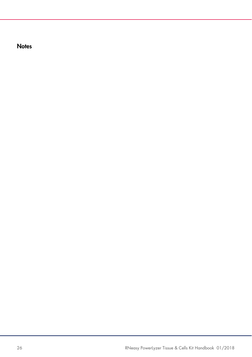**Notes**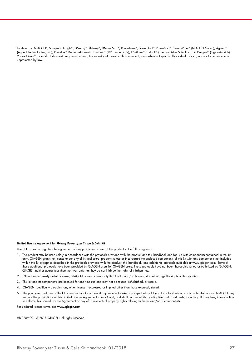Trademarks: QIAGEN®, Sample to Insighi®, DNeasy®, RNeasy®, DNase Max®, Powerlyzer®, PowerPlani®, PowerVoler® (QIAGEN Group); Agileni®<br>(Agilent Technologies, Inc.); Precellys® (Bertin Instruments); FastPrep® (MP Biomedicals Vortex Genie® (Scientific Industries). Registered names, trademarks, etc. used in this document, even when not specifically marked as such, are not to be considered unprotected by law.

#### Limited License Agreement for RNeasy PowerLyzer Tissue & Cells Kit

Use of this product signifies the agreement of any purchaser or user of the product to the following terms:

- 1. The product may be used solely in accordance with the protocols provided with the product and this handbook and for use with components contained in the kit only. QIAGEN grants no license under any of its intellectual property to use or incorporate the enclosed components of this kit with any components not included within this kit except as described in the protocols provided with the product, this handbook, and additional protocols available at www.qiagen.com. Some of these additional protocols have been provided by QIAGEN users for QIAGEN users. These protocols have not been thoroughly tested or optimized by QIAGEN. QIAGEN neither guarantees them nor warrants that they do not infringe the rights of third-parties.
- 2. Other than expressly stated licenses, QIAGEN makes no warranty that this kit and/or its use(s) do not infringe the rights of third-parties.
- 3. This kit and its components are licensed for one-time use and may not be reused, refurbished, or resold.
- 4. QIAGEN specifically disclaims any other licenses, expressed or implied other than those expressly stated.
- 5. The purchaser and user of the kit agree not to take or permit anyone else to take any steps that could lead to or facilitate any acts prohibited above. QIAGEN may<br>enforce the prohibitions of this Limited License Agreeme to enforce this Limited License Agreement or any of its intellectual property rights relating to the kit and/or its components.

For updated license terms, see www.qiagen.com

HB-2269-001 © 2018 QIAGEN, all rights reserved.